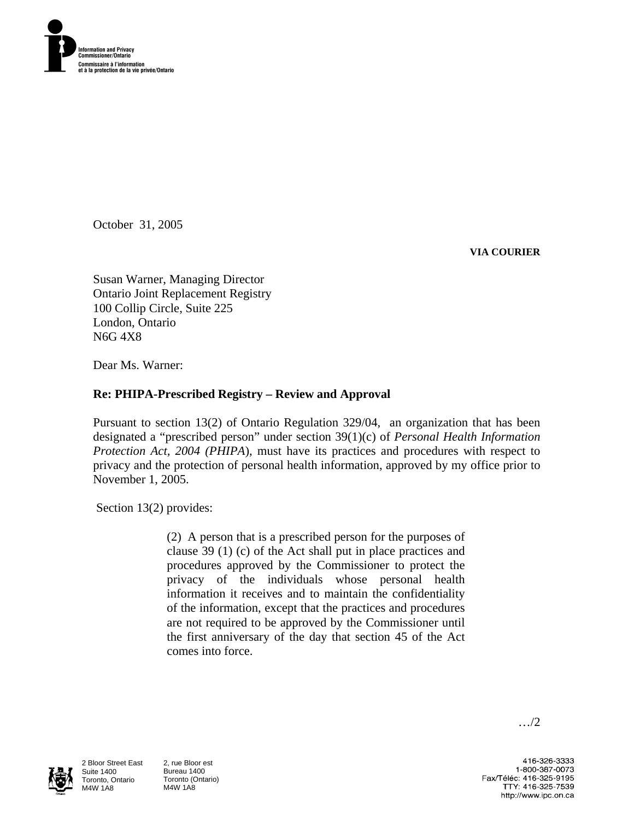

October 31, 2005

**VIA COURIER** 

Susan Warner, Managing Director Ontario Joint Replacement Registry 100 Collip Circle, Suite 225 London, Ontario N6G 4X8

Dear Ms. Warner:

## **Re: PHIPA-Prescribed Registry – Review and Approval**

Pursuant to section 13(2) of Ontario Regulation 329/04, an organization that has been designated a "prescribed person" under section 39(1)(c) of *Personal Health Information Protection Act, 2004 (PHIPA*), must have its practices and procedures with respect to privacy and the protection of personal health information, approved by my office prior to November 1, 2005.

Section 13(2) provides:

(2) A person that is a prescribed person for the purposes of clause 39 (1) (c) of the Act shall put in place practices and procedures approved by the Commissioner to protect the privacy of the individuals whose personal health information it receives and to maintain the confidentiality of the information, except that the practices and procedures are not required to be approved by the Commissioner until the first anniversary of the day that section 45 of the Act comes into force.



2 Bloor Street East Suite 1400 Toronto, Ontario M4W 1A8

2, rue Bloor est Bureau 1400 Toronto (Ontario) M4W 1A8

…/2

416-326-3333 1-800-387-0073 Fax/Téléc: 416-325-9195 TTY: 416-325-7539 http://www.ipc.on.ca